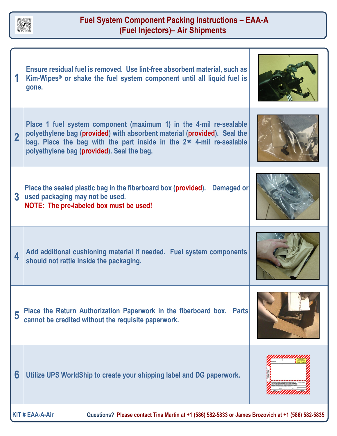

## **Fuel System Component Packing Instructions – EAA-A (Fuel Injectors)– Air Shipments**

|                                                                                                                              | Ensure residual fuel is removed. Use lint-free absorbent material, such as<br>Kim-Wipes <sup>®</sup> or shake the fuel system component until all liquid fuel is<br>gone.                                                                                                        |  |
|------------------------------------------------------------------------------------------------------------------------------|----------------------------------------------------------------------------------------------------------------------------------------------------------------------------------------------------------------------------------------------------------------------------------|--|
| $\overline{2}$                                                                                                               | Place 1 fuel system component (maximum 1) in the 4-mil re-sealable<br>polyethylene bag (provided) with absorbent material (provided). Seal the<br>bag. Place the bag with the part inside in the 2 <sup>nd</sup> 4-mil re-sealable<br>polyethylene bag (provided). Seal the bag. |  |
| 3                                                                                                                            | Place the sealed plastic bag in the fiberboard box (provided). Damaged or<br>used packaging may not be used.<br>NOTE: The pre-labeled box must be used!                                                                                                                          |  |
| 4                                                                                                                            | Add additional cushioning material if needed. Fuel system components<br>should not rattle inside the packaging.                                                                                                                                                                  |  |
| 5                                                                                                                            | Place the Return Authorization Paperwork in the fiberboard box. Parts<br>cannot be credited without the requisite paperwork.                                                                                                                                                     |  |
| 6                                                                                                                            | Utilize UPS WorldShip to create your shipping label and DG paperwork.                                                                                                                                                                                                            |  |
| <b>KIT # EAA-A-Air</b><br>Questions? Please contact Tina Martin at +1 (586) 582-5833 or James Brozovich at +1 (586) 582-5835 |                                                                                                                                                                                                                                                                                  |  |